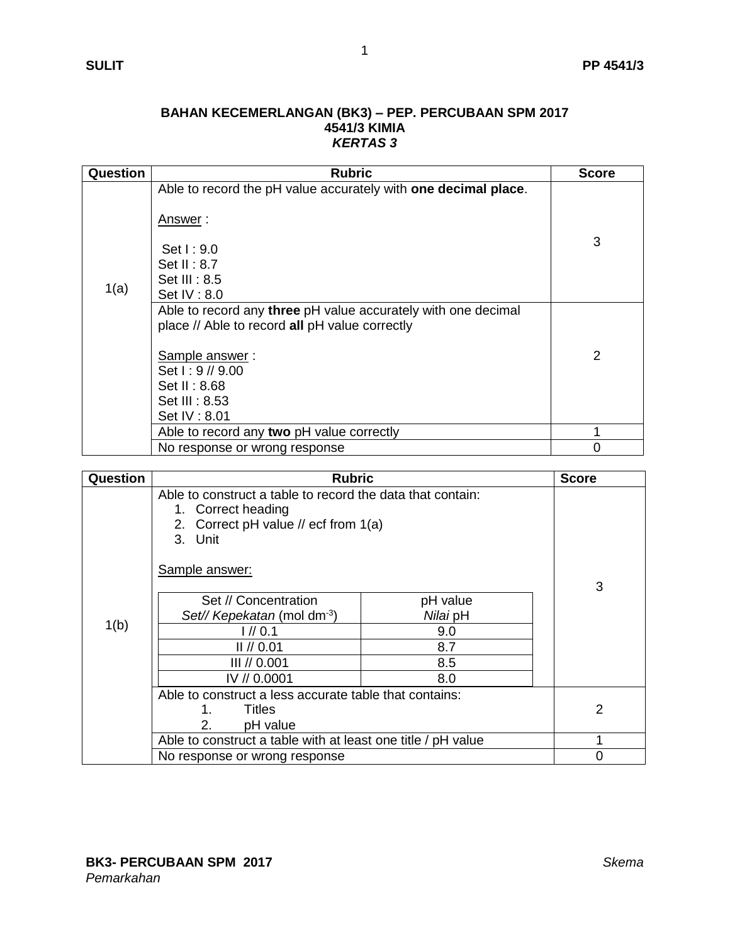## **BAHAN KECEMERLANGAN (BK3) – PEP. PERCUBAAN SPM 2017 4541/3 KIMIA** *KERTAS 3*

| Question | <b>Rubric</b>                                                                                                                                                                                           | <b>Score</b> |
|----------|---------------------------------------------------------------------------------------------------------------------------------------------------------------------------------------------------------|--------------|
| 1(a)     | Able to record the pH value accurately with one decimal place.<br><u>Answer</u> :<br>Set 1:9.0<br>Set II: $8.7$<br>Set III : 8.5<br>Set IV: 8.0                                                         | 3            |
|          | Able to record any three pH value accurately with one decimal<br>place // Able to record all pH value correctly<br>Sample answer:<br>Set $1:9$ // 9.00<br>Set II: 8.68<br>Set III: 8.53<br>Set IV: 8.01 | 2            |
|          | Able to record any two pH value correctly                                                                                                                                                               |              |
|          | No response or wrong response                                                                                                                                                                           | $\Omega$     |

| Question | <b>Rubric</b>                                                                                                                       |          | <b>Score</b>   |
|----------|-------------------------------------------------------------------------------------------------------------------------------------|----------|----------------|
|          | Able to construct a table to record the data that contain:<br>1. Correct heading<br>2. Correct pH value // ecf from 1(a)<br>3. Unit |          |                |
|          | Sample answer:                                                                                                                      |          | 3              |
|          | Set // Concentration                                                                                                                | pH value |                |
|          | Set// Kepekatan (mol dm <sup>-3</sup> )                                                                                             | Nilai pH |                |
| 1(b)     | 1/10.1                                                                                                                              | 9.0      |                |
|          | $II$ // 0.01                                                                                                                        | 8.7      |                |
|          | III // 0.001                                                                                                                        | 8.5      |                |
|          | IV // 0.0001                                                                                                                        | 8.0      |                |
|          | Able to construct a less accurate table that contains:                                                                              |          |                |
|          | Titles<br>1.                                                                                                                        |          | $\overline{2}$ |
|          | 2.<br>pH value                                                                                                                      |          |                |
|          | Able to construct a table with at least one title / pH value                                                                        |          |                |
|          | No response or wrong response                                                                                                       |          | 0              |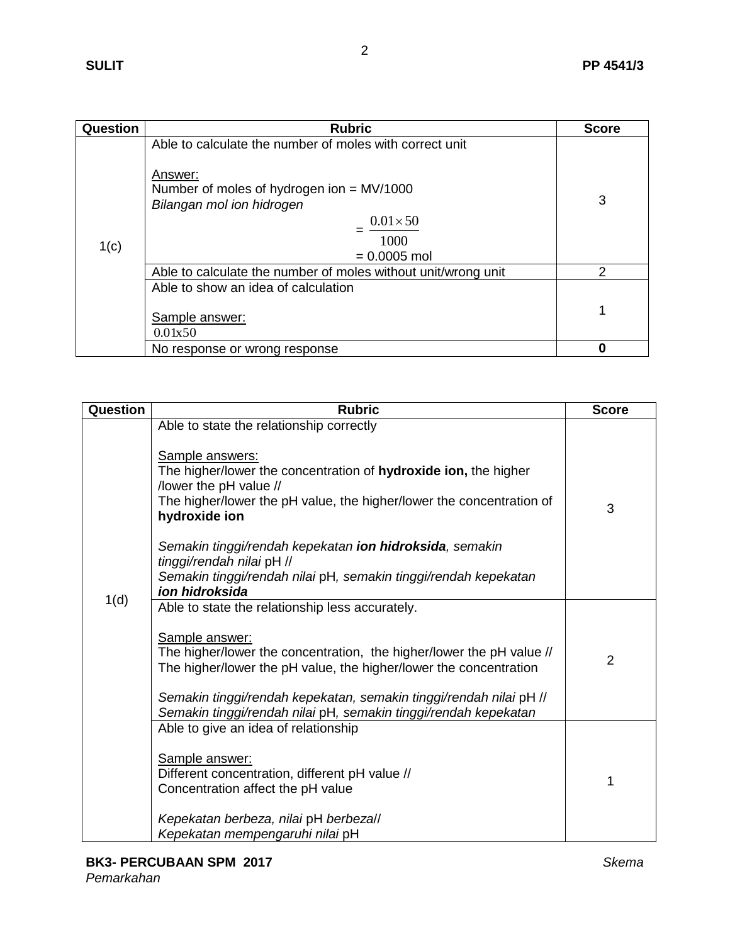| Question | <b>Rubric</b>                                                                                                                                                                                | <b>Score</b> |
|----------|----------------------------------------------------------------------------------------------------------------------------------------------------------------------------------------------|--------------|
| 1(c)     | Able to calculate the number of moles with correct unit<br>Answer:<br>Number of moles of hydrogen ion $=$ MV/1000<br>Bilangan mol ion hidrogen<br>$0.01 \times 50$<br>1000<br>$= 0.0005$ mol | 3            |
|          | Able to calculate the number of moles without unit/wrong unit                                                                                                                                | 2            |
|          | Able to show an idea of calculation<br>Sample answer:<br>0.01x50                                                                                                                             | 1            |
|          | No response or wrong response                                                                                                                                                                | Ω            |

| Question | <b>Rubric</b>                                                                                                                                                                                                                     | <b>Score</b>   |
|----------|-----------------------------------------------------------------------------------------------------------------------------------------------------------------------------------------------------------------------------------|----------------|
|          | Able to state the relationship correctly                                                                                                                                                                                          |                |
|          | Sample answers:<br>The higher/lower the concentration of hydroxide ion, the higher<br>/lower the pH value //<br>The higher/lower the pH value, the higher/lower the concentration of<br>hydroxide ion                             | 3              |
|          | Semakin tinggi/rendah kepekatan ion hidroksida, semakin                                                                                                                                                                           |                |
|          | tinggi/rendah nilai pH //<br>Semakin tinggi/rendah nilai pH, semakin tinggi/rendah kepekatan<br>ion hidroksida                                                                                                                    |                |
| 1(d)     | Able to state the relationship less accurately.                                                                                                                                                                                   |                |
|          | Sample answer:<br>The higher/lower the concentration, the higher/lower the pH value //<br>The higher/lower the pH value, the higher/lower the concentration<br>Semakin tinggi/rendah kepekatan, semakin tinggi/rendah nilai pH // | $\overline{2}$ |
|          | Semakin tinggi/rendah nilai pH, semakin tinggi/rendah kepekatan                                                                                                                                                                   |                |
|          | Able to give an idea of relationship<br>Sample answer:<br>Different concentration, different pH value //<br>Concentration affect the pH value<br>Kepekatan berbeza, nilai pH berbezall                                            | 1              |
|          | Kepekatan mempengaruhi nilai pH                                                                                                                                                                                                   |                |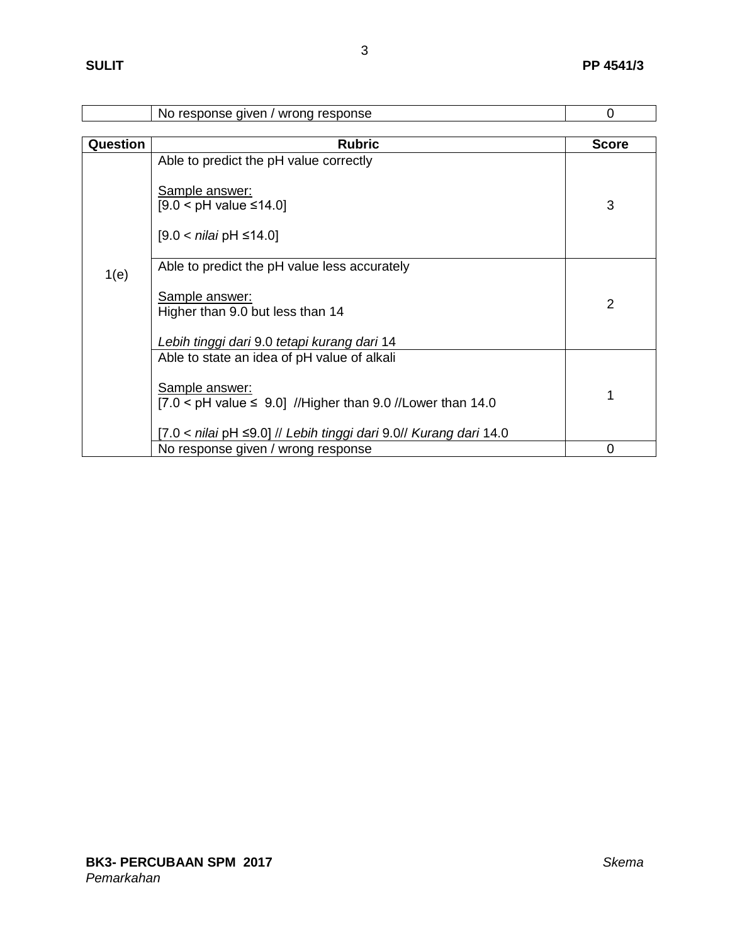|          | No response given / wrong response                                                   | $\Omega$       |  |  |
|----------|--------------------------------------------------------------------------------------|----------------|--|--|
|          |                                                                                      |                |  |  |
| Question | <b>Rubric</b>                                                                        | <b>Score</b>   |  |  |
|          | Able to predict the pH value correctly                                               |                |  |  |
|          | Sample answer:<br>$[9.0 < pH$ value $\leq 14.0$                                      | 3              |  |  |
|          | [9.0 < <i>nilai</i> pH ≤14.0]                                                        |                |  |  |
| 1(e)     | Able to predict the pH value less accurately                                         |                |  |  |
|          | Sample answer:                                                                       |                |  |  |
|          | Higher than 9.0 but less than 14                                                     | 2              |  |  |
|          | Lebih tinggi dari 9.0 tetapi kurang dari 14                                          |                |  |  |
|          | Able to state an idea of pH value of alkali                                          |                |  |  |
|          | Sample answer:<br>$[7.0 < pH$ value $\leq 9.0$ ] //Higher than 9.0 //Lower than 14.0 | 1              |  |  |
|          | [7.0 < nilai pH ≤9.0] // Lebih tinggi dari 9.0// Kurang dari 14.0                    |                |  |  |
|          | No response given / wrong response                                                   | $\overline{0}$ |  |  |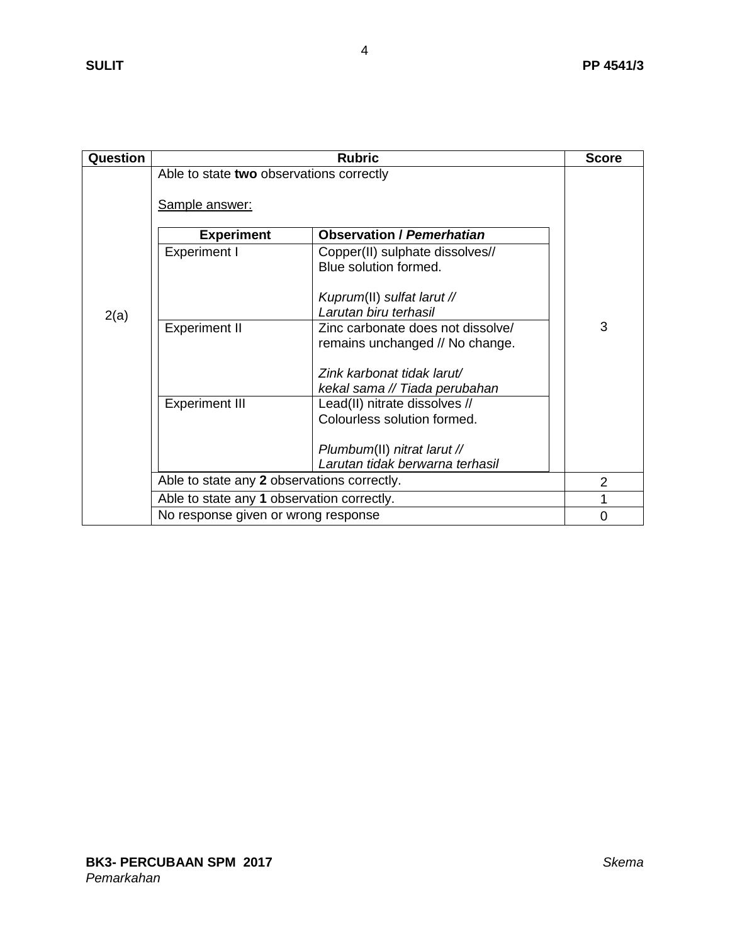| Question |                                                                                                                     | <b>Rubric</b>                                                                                                                       | <b>Score</b>   |  |
|----------|---------------------------------------------------------------------------------------------------------------------|-------------------------------------------------------------------------------------------------------------------------------------|----------------|--|
|          | Able to state two observations correctly<br>Sample answer:<br><b>Observation / Pemerhatian</b><br><b>Experiment</b> |                                                                                                                                     |                |  |
| 2(a)     | <b>Experiment I</b>                                                                                                 | Copper(II) sulphate dissolves//<br>Blue solution formed.<br>Kuprum(II) sulfat larut //<br>Larutan biru terhasil                     |                |  |
|          | <b>Experiment II</b>                                                                                                | Zinc carbonate does not dissolve/<br>remains unchanged // No change.<br>Zink karbonat tidak larut/<br>kekal sama // Tiada perubahan | 3              |  |
|          | <b>Experiment III</b>                                                                                               | Lead(II) nitrate dissolves //<br>Colourless solution formed.<br>Plumbum(II) nitrat larut //<br>Larutan tidak berwarna terhasil      |                |  |
|          | Able to state any 2 observations correctly.                                                                         |                                                                                                                                     | $\overline{2}$ |  |
|          | Able to state any 1 observation correctly.                                                                          |                                                                                                                                     |                |  |
|          | No response given or wrong response                                                                                 |                                                                                                                                     | $\Omega$       |  |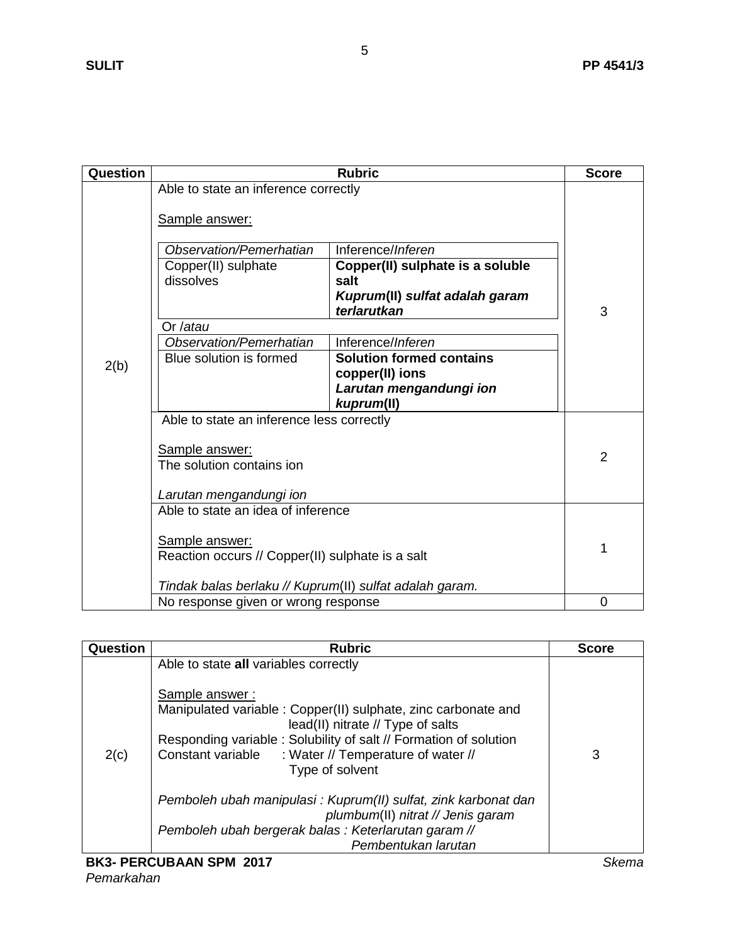| Question |                                                         | <b>Rubric</b>                                 | <b>Score</b> |
|----------|---------------------------------------------------------|-----------------------------------------------|--------------|
|          | Able to state an inference correctly                    |                                               |              |
|          | Sample answer:                                          |                                               |              |
|          | Observation/Pemerhatian                                 | Inference/Inferen                             |              |
|          | Copper(II) sulphate                                     | Copper(II) sulphate is a soluble              |              |
|          | dissolves                                               | salt                                          |              |
|          |                                                         | Kuprum(II) sulfat adalah garam<br>terlarutkan | 3            |
|          | Or /atau                                                |                                               |              |
|          | Observation/Pemerhatian                                 | Inference/Inferen                             |              |
| 2(b)     | Blue solution is formed                                 | <b>Solution formed contains</b>               |              |
|          |                                                         | copper(II) ions                               |              |
|          |                                                         | Larutan mengandungi ion<br>kuprum(II)         |              |
|          | Able to state an inference less correctly               |                                               |              |
|          | Sample answer:                                          |                                               |              |
|          | The solution contains ion                               |                                               | 2            |
|          | Larutan mengandungi ion                                 |                                               |              |
|          | Able to state an idea of inference                      |                                               |              |
|          | Sample answer:                                          |                                               | 1            |
|          | Reaction occurs // Copper(II) sulphate is a salt        |                                               |              |
|          | Tindak balas berlaku // Kuprum(II) sulfat adalah garam. |                                               |              |
|          | No response given or wrong response                     |                                               | 0            |

| Question | <b>Rubric</b>                                                                                                                                                                                                                                                                                                                                                                                                                                                                                        | <b>Score</b> |
|----------|------------------------------------------------------------------------------------------------------------------------------------------------------------------------------------------------------------------------------------------------------------------------------------------------------------------------------------------------------------------------------------------------------------------------------------------------------------------------------------------------------|--------------|
| 2(c)     | Able to state all variables correctly<br>Sample answer:<br>Manipulated variable: Copper(II) sulphate, zinc carbonate and<br>lead(II) nitrate // Type of salts<br>Responding variable: Solubility of salt // Formation of solution<br>Constant variable<br>: Water // Temperature of water //<br>Type of solvent<br>Pemboleh ubah manipulasi: Kuprum(II) sulfat, zink karbonat dan<br>plumbum(II) nitrat // Jenis garam<br>Pemboleh ubah bergerak balas: Keterlarutan garam //<br>Pembentukan larutan | 3            |
|          |                                                                                                                                                                                                                                                                                                                                                                                                                                                                                                      |              |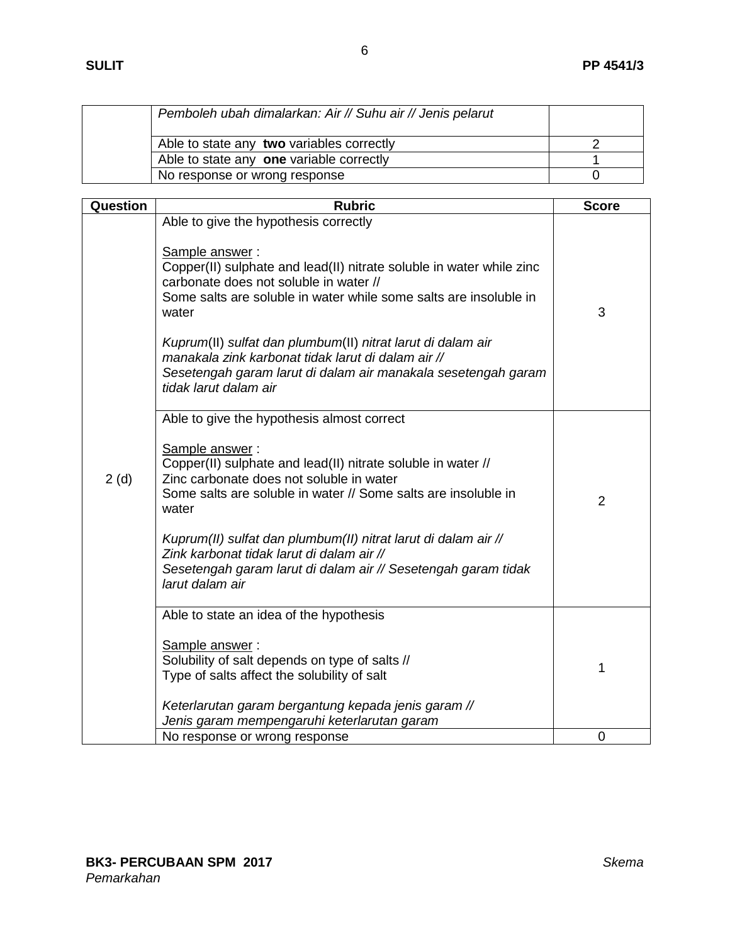| Pemboleh ubah dimalarkan: Air // Suhu air // Jenis pelarut |  |
|------------------------------------------------------------|--|
| Able to state any two variables correctly                  |  |
| Able to state any one variable correctly                   |  |
| No response or wrong response                              |  |

| Question | <b>Rubric</b>                                                                                                                                                                                                                                                                                                                                                                                                                                                          | <b>Score</b>   |
|----------|------------------------------------------------------------------------------------------------------------------------------------------------------------------------------------------------------------------------------------------------------------------------------------------------------------------------------------------------------------------------------------------------------------------------------------------------------------------------|----------------|
|          | Able to give the hypothesis correctly<br>Sample answer:<br>Copper(II) sulphate and lead(II) nitrate soluble in water while zinc<br>carbonate does not soluble in water //<br>Some salts are soluble in water while some salts are insoluble in<br>water<br>Kuprum(II) sulfat dan plumbum(II) nitrat larut di dalam air<br>manakala zink karbonat tidak larut di dalam air //<br>Sesetengah garam larut di dalam air manakala sesetengah garam<br>tidak larut dalam air | 3              |
| 2(d)     | Able to give the hypothesis almost correct<br>Sample answer:<br>Copper(II) sulphate and lead(II) nitrate soluble in water //<br>Zinc carbonate does not soluble in water<br>Some salts are soluble in water // Some salts are insoluble in<br>water<br>Kuprum(II) sulfat dan plumbum(II) nitrat larut di dalam air //<br>Zink karbonat tidak larut di dalam air //<br>Sesetengah garam larut di dalam air // Sesetengah garam tidak<br>larut dalam air                 | $\overline{2}$ |
|          | Able to state an idea of the hypothesis<br>Sample answer:<br>Solubility of salt depends on type of salts //<br>Type of salts affect the solubility of salt<br>Keterlarutan garam bergantung kepada jenis garam //<br>Jenis garam mempengaruhi keterlarutan garam                                                                                                                                                                                                       | 1              |
|          | No response or wrong response                                                                                                                                                                                                                                                                                                                                                                                                                                          | 0              |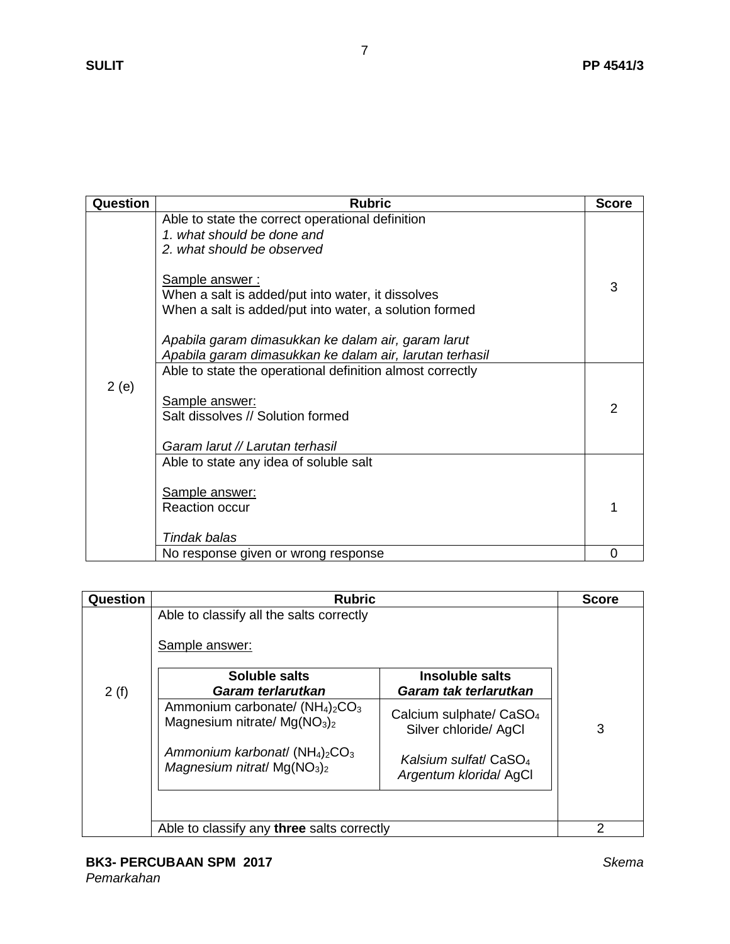| <b>Question</b> | <b>Rubric</b>                                                                                                                                                                                                                                                                                                                                                  | <b>Score</b> |
|-----------------|----------------------------------------------------------------------------------------------------------------------------------------------------------------------------------------------------------------------------------------------------------------------------------------------------------------------------------------------------------------|--------------|
| 2(e)            | Able to state the correct operational definition<br>1. what should be done and<br>2. what should be observed<br>Sample answer:<br>When a salt is added/put into water, it dissolves<br>When a salt is added/put into water, a solution formed<br>Apabila garam dimasukkan ke dalam air, garam larut<br>Apabila garam dimasukkan ke dalam air, larutan terhasil | 3            |
|                 | Able to state the operational definition almost correctly<br>Sample answer:<br>Salt dissolves // Solution formed<br>Garam larut // Larutan terhasil                                                                                                                                                                                                            | 2            |
|                 | Able to state any idea of soluble salt<br>Sample answer:                                                                                                                                                                                                                                                                                                       |              |
|                 | <b>Reaction occur</b><br>Tindak balas                                                                                                                                                                                                                                                                                                                          |              |
|                 | No response given or wrong response                                                                                                                                                                                                                                                                                                                            | 0            |

| Question | <b>Rubric</b>                                                       |                                                              | <b>Score</b> |
|----------|---------------------------------------------------------------------|--------------------------------------------------------------|--------------|
|          | Able to classify all the salts correctly<br>Sample answer:          |                                                              |              |
|          | Soluble salts                                                       | Insoluble salts                                              |              |
| 2(f)     | Garam terlarutkan                                                   | Garam tak terlarutkan                                        |              |
|          | Ammonium carbonate/ $(NH_4)_2CO_3$<br>Magnesium nitrate/ $Mg(NO3)2$ | Calcium sulphate/ CaSO <sub>4</sub><br>Silver chloride/ AgCl | 3            |
|          | Ammonium karbonat/ $(NH_4)_2CO_3$<br>Magnesium nitrat/ $Mg(NO3)2$   | Kalsium sulfat/ CaSO <sub>4</sub><br>Argentum klorida/ AgCl  |              |
|          |                                                                     |                                                              |              |
|          | Able to classify any three salts correctly                          |                                                              | 2            |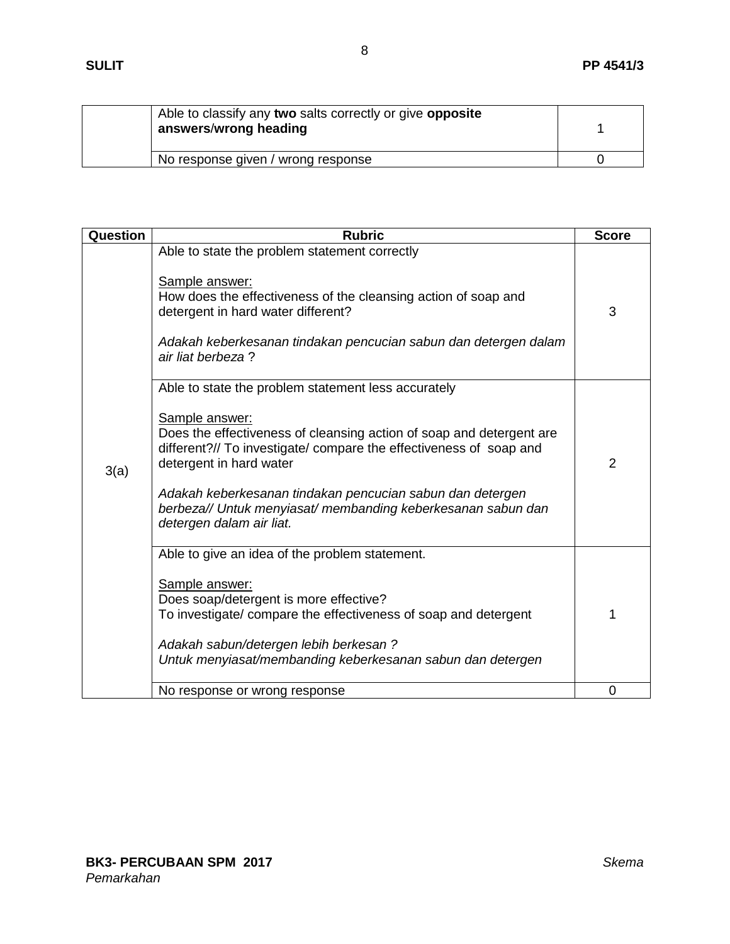| Able to classify any two salts correctly or give opposite<br>answers/wrong heading |  |
|------------------------------------------------------------------------------------|--|
| No response given / wrong response                                                 |  |

| Question | <b>Rubric</b>                                                                                                                                                                                                                                                                                                                                                                                           | <b>Score</b> |
|----------|---------------------------------------------------------------------------------------------------------------------------------------------------------------------------------------------------------------------------------------------------------------------------------------------------------------------------------------------------------------------------------------------------------|--------------|
| 3(a)     | Able to state the problem statement correctly<br>Sample answer:<br>How does the effectiveness of the cleansing action of soap and<br>detergent in hard water different?<br>Adakah keberkesanan tindakan pencucian sabun dan detergen dalam<br>air liat berbeza?                                                                                                                                         | 3            |
|          | Able to state the problem statement less accurately<br>Sample answer:<br>Does the effectiveness of cleansing action of soap and detergent are<br>different?// To investigate/ compare the effectiveness of soap and<br>detergent in hard water<br>Adakah keberkesanan tindakan pencucian sabun dan detergen<br>berbeza// Untuk menyiasat/ membanding keberkesanan sabun dan<br>detergen dalam air liat. | 2            |
|          | Able to give an idea of the problem statement.<br>Sample answer:<br>Does soap/detergent is more effective?<br>To investigate/ compare the effectiveness of soap and detergent<br>Adakah sabun/detergen lebih berkesan?<br>Untuk menyiasat/membanding keberkesanan sabun dan detergen                                                                                                                    | 1            |
|          | No response or wrong response                                                                                                                                                                                                                                                                                                                                                                           | 0            |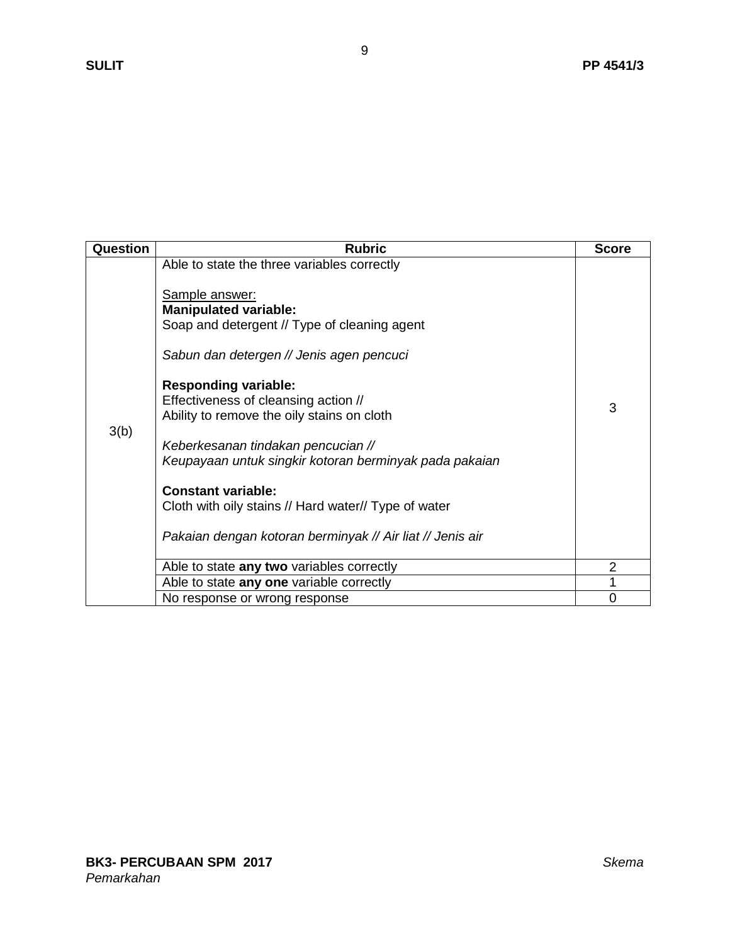| Question | <b>Rubric</b>                                                                                                                                                                                                                                                                                                                                                                                                                                                                                              | <b>Score</b>   |
|----------|------------------------------------------------------------------------------------------------------------------------------------------------------------------------------------------------------------------------------------------------------------------------------------------------------------------------------------------------------------------------------------------------------------------------------------------------------------------------------------------------------------|----------------|
| 3(b)     | Able to state the three variables correctly<br><b>Sample answer:</b><br><b>Manipulated variable:</b><br>Soap and detergent // Type of cleaning agent<br>Sabun dan detergen // Jenis agen pencuci<br><b>Responding variable:</b><br>Effectiveness of cleansing action //<br>Ability to remove the oily stains on cloth<br>Keberkesanan tindakan pencucian //<br>Keupayaan untuk singkir kotoran berminyak pada pakaian<br><b>Constant variable:</b><br>Cloth with oily stains // Hard water// Type of water | 3              |
|          | Pakaian dengan kotoran berminyak // Air liat // Jenis air                                                                                                                                                                                                                                                                                                                                                                                                                                                  |                |
|          |                                                                                                                                                                                                                                                                                                                                                                                                                                                                                                            | 2              |
|          | Able to state any two variables correctly<br>Able to state any one variable correctly                                                                                                                                                                                                                                                                                                                                                                                                                      |                |
|          |                                                                                                                                                                                                                                                                                                                                                                                                                                                                                                            |                |
|          | No response or wrong response                                                                                                                                                                                                                                                                                                                                                                                                                                                                              | $\overline{0}$ |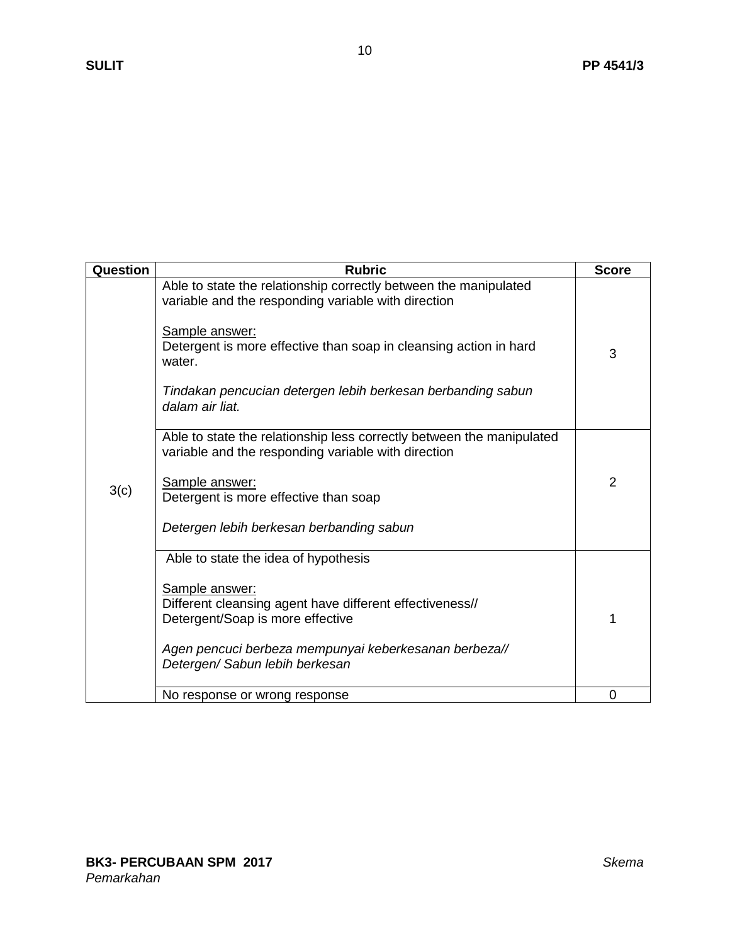| Question | <b>Rubric</b>                                                                                                                                                                                                                                                                                              | <b>Score</b> |
|----------|------------------------------------------------------------------------------------------------------------------------------------------------------------------------------------------------------------------------------------------------------------------------------------------------------------|--------------|
| 3(c)     | Able to state the relationship correctly between the manipulated<br>variable and the responding variable with direction<br>Sample answer:<br>Detergent is more effective than soap in cleansing action in hard<br>water.<br>Tindakan pencucian detergen lebih berkesan berbanding sabun<br>dalam air liat. | 3            |
|          | Able to state the relationship less correctly between the manipulated<br>variable and the responding variable with direction<br><b>Sample answer:</b><br>Detergent is more effective than soap<br>Detergen lebih berkesan berbanding sabun                                                                 | 2            |
|          | Able to state the idea of hypothesis<br>Sample answer:<br>Different cleansing agent have different effectiveness//<br>Detergent/Soap is more effective<br>Agen pencuci berbeza mempunyai keberkesanan berbeza//<br>Detergen/ Sabun lebih berkesan                                                          | 1            |
|          | No response or wrong response                                                                                                                                                                                                                                                                              | 0            |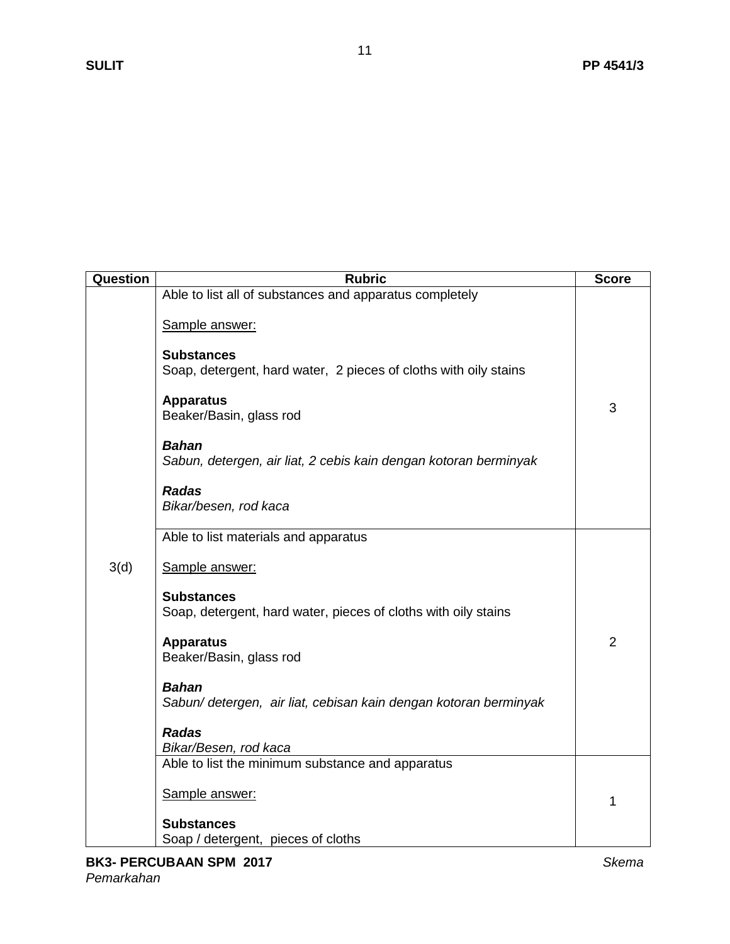| Question | <b>Rubric</b>                                                                         | <b>Score</b>   |
|----------|---------------------------------------------------------------------------------------|----------------|
| 3(d)     | Able to list all of substances and apparatus completely                               |                |
|          | Sample answer:                                                                        |                |
|          | <b>Substances</b><br>Soap, detergent, hard water, 2 pieces of cloths with oily stains |                |
|          | <b>Apparatus</b><br>Beaker/Basin, glass rod                                           | 3              |
|          | <b>Bahan</b><br>Sabun, detergen, air liat, 2 cebis kain dengan kotoran berminyak      |                |
|          | <b>Radas</b><br>Bikar/besen, rod kaca                                                 |                |
|          | Able to list materials and apparatus                                                  |                |
|          | Sample answer:                                                                        |                |
|          | <b>Substances</b><br>Soap, detergent, hard water, pieces of cloths with oily stains   |                |
|          | <b>Apparatus</b><br>Beaker/Basin, glass rod                                           | $\overline{2}$ |
|          | <b>Bahan</b><br>Sabun/ detergen, air liat, cebisan kain dengan kotoran berminyak      |                |
|          | <b>Radas</b><br>Bikar/Besen, rod kaca                                                 |                |
|          | Able to list the minimum substance and apparatus                                      |                |
|          | Sample answer:                                                                        | 1              |
|          | <b>Substances</b>                                                                     |                |
|          | Soap / detergent, pieces of cloths                                                    |                |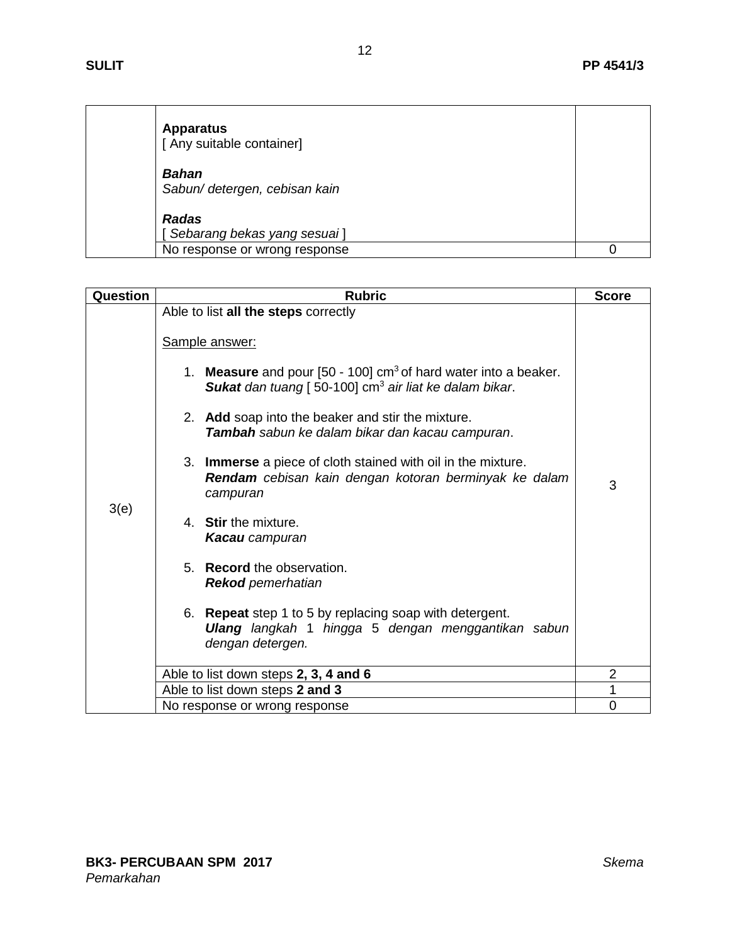| <b>Apparatus</b><br>[ Any suitable container] |  |
|-----------------------------------------------|--|
| <b>Bahan</b><br>Sabun/ detergen, cebisan kain |  |
| <b>Radas</b><br>[Sebarang bekas yang sesuai]  |  |
| No response or wrong response                 |  |

| Question | <b>Rubric</b>                                                                                                                                                    | <b>Score</b> |
|----------|------------------------------------------------------------------------------------------------------------------------------------------------------------------|--------------|
|          | Able to list all the steps correctly                                                                                                                             |              |
| 3(e)     | Sample answer:                                                                                                                                                   |              |
|          | 1. <b>Measure</b> and pour $[50 - 100]$ cm <sup>3</sup> of hard water into a beaker.<br><b>Sukat</b> dan tuang [50-100] cm <sup>3</sup> air liat ke dalam bikar. |              |
|          | 2. Add soap into the beaker and stir the mixture.<br>Tambah sabun ke dalam bikar dan kacau campuran.                                                             |              |
|          | 3. <b>Immerse</b> a piece of cloth stained with oil in the mixture.<br>Rendam cebisan kain dengan kotoran berminyak ke dalam<br>campuran                         | 3            |
|          | 4. Stir the mixture.<br><b>Kacau</b> campuran                                                                                                                    |              |
|          | 5. Record the observation.<br><b>Rekod</b> pemerhatian                                                                                                           |              |
|          | <b>Repeat</b> step 1 to 5 by replacing soap with detergent.<br>6.<br><b>Ulang</b> langkah 1 hingga 5 dengan menggantikan sabun<br>dengan detergen.               |              |
|          | Able to list down steps 2, 3, 4 and 6                                                                                                                            | 2            |
|          | Able to list down steps 2 and 3                                                                                                                                  | 1            |
|          | No response or wrong response                                                                                                                                    | $\Omega$     |